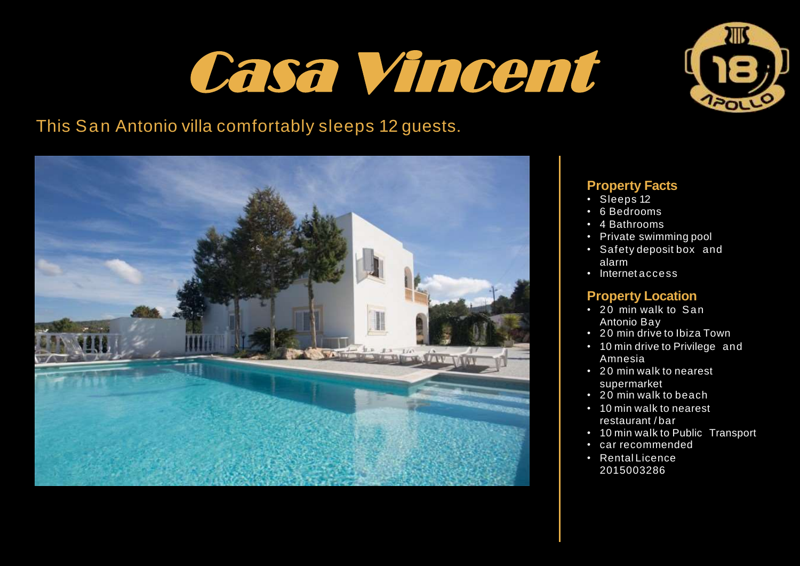## Casa Vincent



## This San Antonio villa comfortably sleeps 12 guests.



### **Property Facts**

- Sleeps 12
- 6 Bedrooms
- 4 Bathrooms
- Private swimming pool
- Safety deposit box and alarm
- Internet access

### **Property Location**

- 20 min walk to San Antonio Bay
- 20 min drive to Ibiza Town
- 10 min drive to Privilege and Amnesia
- 20 min walk to nearest supermarket
- 20 min walk to beach
- 10 min walk to nearest restaurant / bar
- 10 min walk to Public Transport
- car recommended
- Rental Licence 2015003286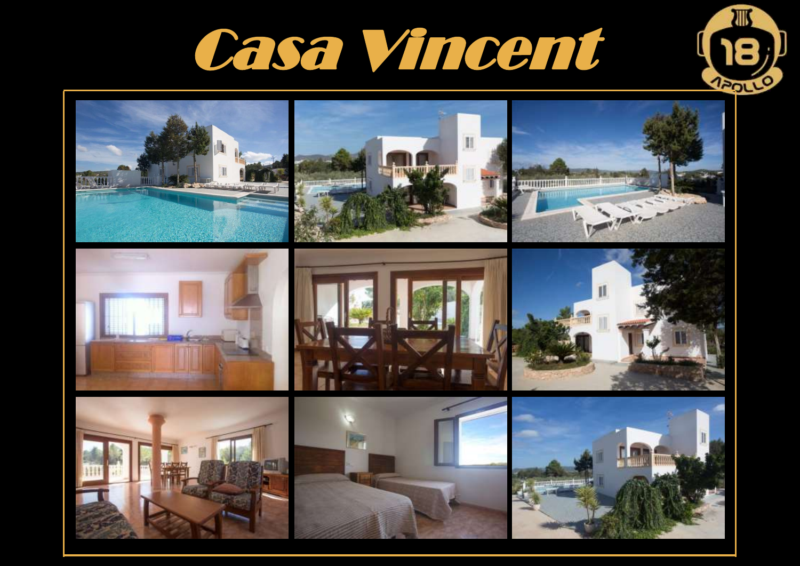



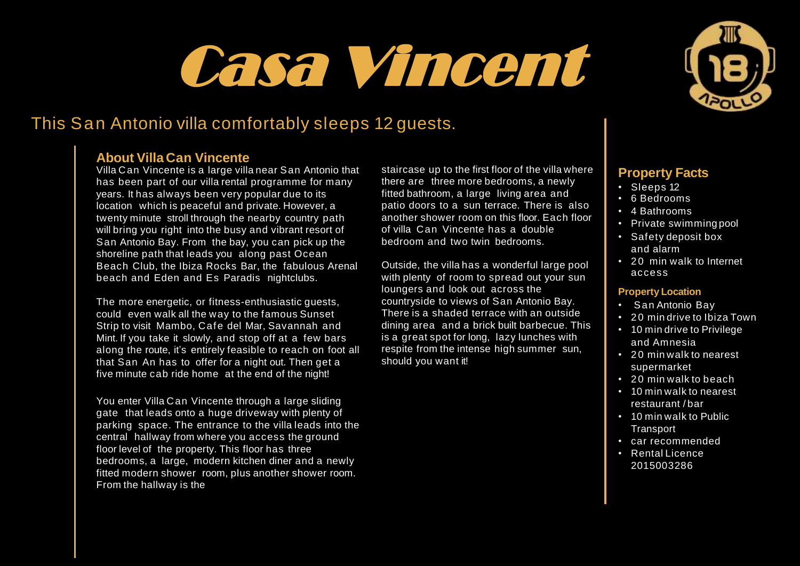# Casa Vincent



### **About Villa Can Vincente**

Villa Can Vincente is a large villa near San Antonio that has been part of our villa rental programme for many years. It has always been very popular due to its location which is peaceful and private. However, a twenty minute stroll through the nearby country path will bring you right into the busy and vibrant resort of San Antonio Bay. From the bay, you can pick up the shoreline path that leads you along past Ocean Beach Club, the Ibiza Rocks Bar, the fabulous Arenal beach and Eden and Es Paradis nightclubs.

The more energetic, or fitness-enthusiastic quests, could even walk all the way to the famous Sunset Strip to visit Mambo, Cafe del Mar, Savannah and Mint. If you take it slowly, and stop off at a few bars along the route, it's entirely feasible to reach on foot all that San An has to offer for a night out. Then get a five minute cab ride home at the end of the night!

You enter Villa Can Vincente through a large sliding gate that leads onto a huge driveway with plenty of parking space. The entrance to the villa leads into the central hallway from where you access the ground floor level of the property. This floor has three bedrooms, a large, modern kitchen diner and a newly fitted modern shower room, plus another shower room. From the hallway is the

staircase up to the first floor of the villa where there are three more bedrooms, a newly fitted bathroom, a large living area and patio doors to a sun terrace. There is also another shower room on this floor. Each floor of villa Can Vincente has a double bedroom and two twin bedrooms.

Outside, the villa has a wonderful large pool with plenty of room to spread out your sun loungers and look out across the countryside to views of San Antonio Bay. There is a shaded terrace with an outside dining area and a brick built barbecue. This is a great spot for long, lazy lunches with respite from the intense high summer sun, should you want it!



### **Property Facts**

- Sleeps 12
- 6 Bedrooms
- 4 Bathrooms
- Private swimming pool
- Safety deposit box and alarm
- 20 min walk to Internet access

#### **Property Location**

- San Antonio Bay
- 20 min drive to Ibiza Town
- 10 min drive to Privilege and Amnesia
- 20 min walk to nearest supermarket
- $\cdot$  20 min walk to beach
- 10 min walk to nearest restaurant / bar
- 10 min walk to Public Transport
- car recommended
- Rental Licence 2015003286